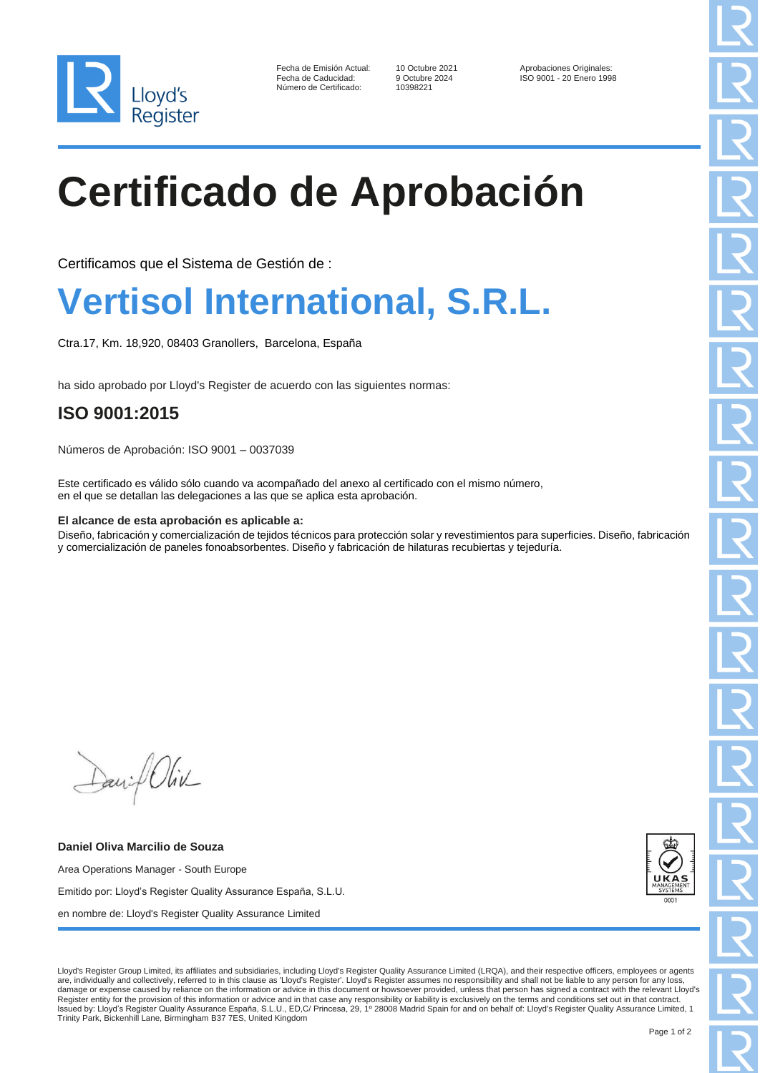

| Fecha de Emisión Actual: |
|--------------------------|
| Fecha de Caducidad:      |
| Número de Certificado:   |

10398221

Fecha de Emisión Aprobaciones Originales:<br>19 Octubre 2024 150 9001 - 20 Enero 199 ISO 9001 - 20 Enero 1998

# **Certificado de Aprobación**

Certificamos que el Sistema de Gestión de :

### **Vertisol International, S.R.L.**

Ctra.17, Km. 18,920, 08403 Granollers, Barcelona, España

ha sido aprobado por Lloyd's Register de acuerdo con las siguientes normas:

### **ISO 9001:2015**

Números de Aprobación: ISO 9001 – 0037039

Este certificado es válido sólo cuando va acompañado del anexo al certificado con el mismo número, en el que se detallan las delegaciones a las que se aplica esta aprobación.

### **El alcance de esta aprobación es aplicable a:**

Diseño, fabricación y comercialización de tejidos técnicos para protección solar y revestimientos para superficies. Diseño, fabricación y comercialización de paneles fonoabsorbentes. Diseño y fabricación de hilaturas recubiertas y tejeduría.

Daniel Oliv

**Daniel Oliva Marcilio de Souza** Area Operations Manager - South Europe Emitido por: Lloyd's Register Quality Assurance España, S.L.U. en nombre de: Lloyd's Register Quality Assurance Limited



Lloyd's Register Group Limited, its affiliates and subsidiaries, including Lloyd's Register Quality Assurance Limited (LRQA), and their respective officers, employees or agents are, individually and collectively, referred to in this clause as 'Lloyd's Register'. Lloyd's Register assumes no responsibility and shall not be liable to any person for any loss, damage or expense caused by reliance on the information or advice in this document or howsoever provided, unless that person has signed a contract with the relevant Lloyd's Register entity for the provision of this information or advice and in that case any responsibility or liability is exclusively on the terms and conditions set out in that contract.<br>Issued by: Lloyd's Register Quality Assu Trinity Park, Bickenhill Lane, Birmingham B37 7ES, United Kingdom